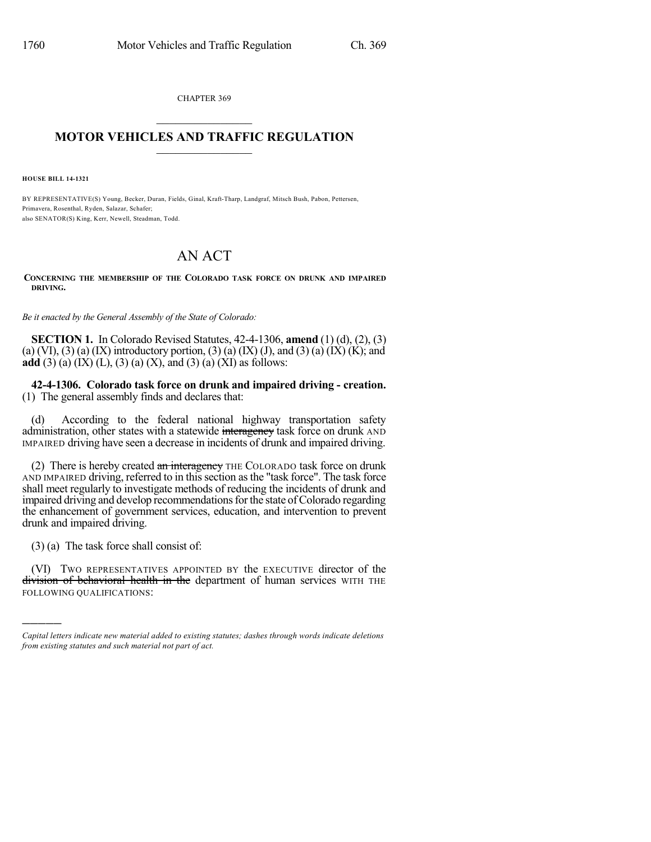CHAPTER 369  $\overline{\phantom{a}}$  . The set of the set of the set of the set of the set of the set of the set of the set of the set of the set of the set of the set of the set of the set of the set of the set of the set of the set of the set o

## **MOTOR VEHICLES AND TRAFFIC REGULATION**  $\frac{1}{2}$  ,  $\frac{1}{2}$  ,  $\frac{1}{2}$  ,  $\frac{1}{2}$  ,  $\frac{1}{2}$  ,  $\frac{1}{2}$  ,  $\frac{1}{2}$

**HOUSE BILL 14-1321**

BY REPRESENTATIVE(S) Young, Becker, Duran, Fields, Ginal, Kraft-Tharp, Landgraf, Mitsch Bush, Pabon, Pettersen, Primavera, Rosenthal, Ryden, Salazar, Schafer; also SENATOR(S) King, Kerr, Newell, Steadman, Todd.

## AN ACT

**CONCERNING THE MEMBERSHIP OF THE COLORADO TASK FORCE ON DRUNK AND IMPAIRED DRIVING.**

*Be it enacted by the General Assembly of the State of Colorado:*

**SECTION 1.** In Colorado Revised Statutes, 42-4-1306, **amend** (1) (d), (2), (3) (a) (VI), (3) (a) (IX) introductory portion, (3) (a) (IX) (J), and (3) (a) (IX) (K); and **add** (3) (a) (IX) (L), (3) (a) (X), and (3) (a) (XI) as follows:

**42-4-1306. Colorado task force on drunk and impaired driving - creation.** (1) The general assembly finds and declares that:

(d) According to the federal national highway transportation safety administration, other states with a statewide interagency task force on drunk AND IMPAIRED driving have seen a decrease in incidents of drunk and impaired driving.

(2) There is hereby created  $\frac{a_n}{b_n}$  interagency THE COLORADO task force on drunk AND IMPAIRED driving, referred to in this section as the "task force". The task force shall meet regularly to investigate methods of reducing the incidents of drunk and impaired driving and develop recommendations for the state of Colorado regarding the enhancement of government services, education, and intervention to prevent drunk and impaired driving.

(3) (a) The task force shall consist of:

)))))

(VI) TWO REPRESENTATIVES APPOINTED BY the EXECUTIVE director of the division of behavioral health in the department of human services WITH THE FOLLOWING QUALIFICATIONS:

*Capital letters indicate new material added to existing statutes; dashes through words indicate deletions from existing statutes and such material not part of act.*